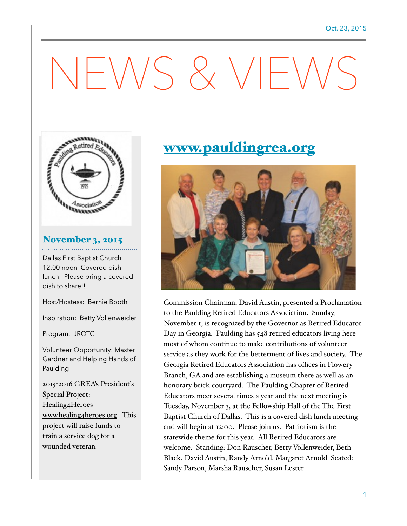# NEWS & VIEWS



## November 3, 2015

Dallas First Baptist Church 12:00 noon Covered dish lunch. Please bring a covered dish to share!!

Host/Hostess: Bernie Booth

Inspiration: Betty Vollenweider

Program: JROTC

Volunteer Opportunity: Master Gardner and Helping Hands of Paulding

2015-2016 GREA's President's Special Project: Healing4Heroes [www.healing4heroes.org](http://www.healing4heroes.org) This project will raise funds to train a service dog for a wounded veteran.

# [www.pauldingrea.org](http://www.pauldingrea.org)



Commission Chairman, David Austin, presented a Proclamation to the Paulding Retired Educators Association. Sunday, November 1, is recognized by the Governor as Retired Educator Day in Georgia. Paulding has 548 retired educators living here most of whom continue to make contributions of volunteer service as they work for the betterment of lives and society. The Georgia Retired Educators Association has offices in Flowery Branch, GA and are establishing a museum there as well as an honorary brick courtyard. The Paulding Chapter of Retired Educators meet several times a year and the next meeting is Tuesday, November 3, at the Fellowship Hall of the The First Baptist Church of Dallas. This is a covered dish lunch meeting and will begin at 12:00. Please join us. Patriotism is the statewide theme for this year. All Retired Educators are welcome. Standing: Don Rauscher, Betty Vollenweider, Beth Black, David Austin, Randy Arnold, Margaret Arnold Seated: Sandy Parson, Marsha Rauscher, Susan Lester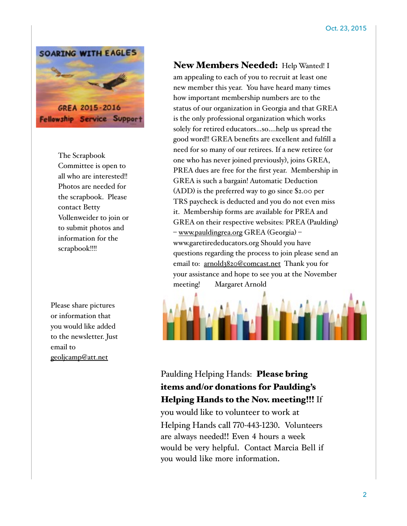

The Scrapbook Committee is open to all who are interested!! Photos are needed for the scrapbook. Please contact Betty Vollenweider to join or to submit photos and information for the scrapbook!!!!

Please share pictures or information that you would like added to the newsletter. Just email to [geoljcamp@att.net](mailto:geoljcamp@att.net)

#### New Members Needed: Help Wanted! I

am appealing to each of you to recruit at least one new member this year. You have heard many times how important membership numbers are to the status of our organization in Georgia and that GREA is the only professional organization which works solely for retired educators…so….help us spread the good word!! GREA benefits are excellent and fulfill a need for so many of our retirees. If a new retiree (or one who has never joined previously), joins GREA, PREA dues are free for the first year. Membership in GREA is such a bargain! Automatic Deduction (ADD) is the preferred way to go since \$2.00 per TRS paycheck is deducted and you do not even miss it. Membership forms are available for PREA and GREA on their respective websites: PREA (Paulding) – [www.pauldingrea.org](http://www.pauldingrea.org) GREA (Georgia) – www.garetirededucators.org Should you have questions regarding the process to join please send an email to: [arnold3820@comcast.net](mailto:arnold3820@comcast.net) Thank you for your assistance and hope to see you at the November meeting! Margaret Arnold



### Paulding Helping Hands: Please bring items and/or donations for Paulding's Helping Hands to the Nov. meeting!!! If

you would like to volunteer to work at Helping Hands call 770-443-1230. Volunteers are always needed!! Even 4 hours a week would be very helpful. Contact Marcia Bell if you would like more information.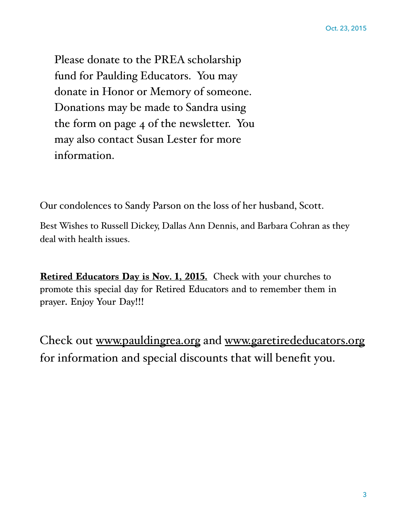Please donate to the PREA scholarship fund for Paulding Educators. You may donate in Honor or Memory of someone. Donations may be made to Sandra using the form on page 4 of the newsletter. You may also contact Susan Lester for more information.

Our condolences to Sandy Parson on the loss of her husband, Scott.

Best Wishes to Russell Dickey, Dallas Ann Dennis, and Barbara Cohran as they deal with health issues.

**Retired Educators Day is Nov. 1, 2015.** Check with your churches to promote this special day for Retired Educators and to remember them in prayer. Enjoy Your Day!!!

Check out [www.pauldingrea.org](http://www.pauldingrea.org) and [www.garetirededucators.org](http://www.garetirededucators.org) for information and special discounts that will benefit you.